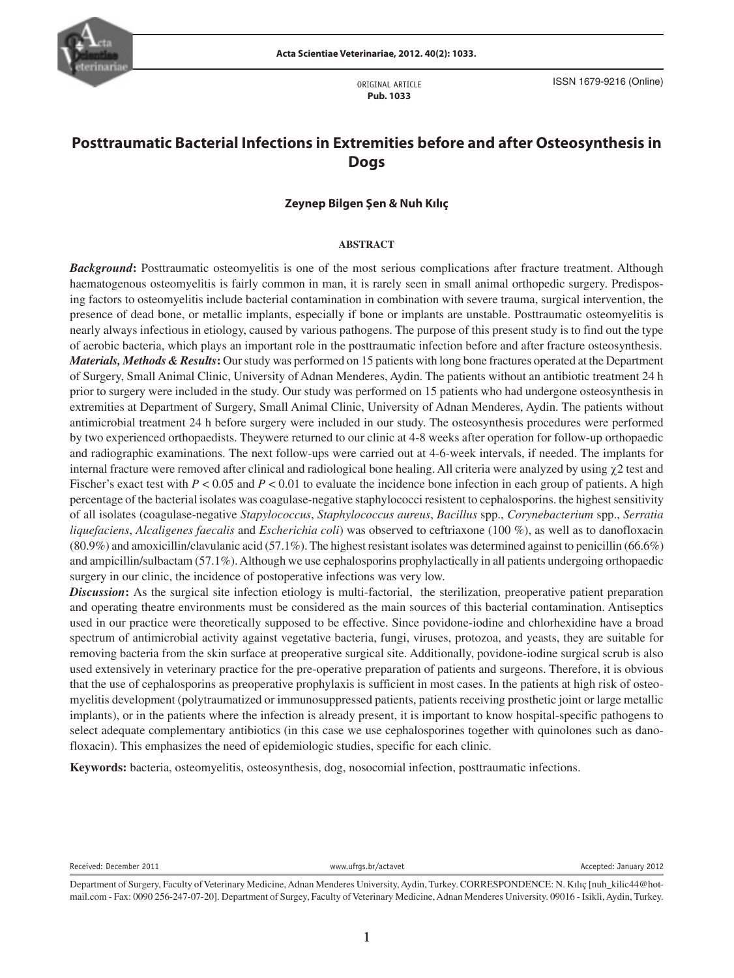

ORIGINAL ARTICLE **Pub. 1033**

ISSN 1679-9216 (Online)

# **Posttraumatic Bacterial Infections in Extremities before and after Osteosynthesis in Dogs**

### **Zeynep Bilgen Şen & Nuh Kılıç**

#### **ABSTRACT**

percentage of the bacterial isolates was coagulase-negative staphylococci resistent to cephalosporins. the highest sensitivity *Background***:** Posttraumatic osteomyelitis is one of the most serious complications after fracture treatment. Although haematogenous osteomyelitis is fairly common in man, it is rarely seen in small animal orthopedic surgery. Predisposing factors to osteomyelitis include bacterial contamination in combination with severe trauma, surgical intervention, the presence of dead bone, or metallic implants, especially if bone or implants are unstable. Posttraumatic osteomyelitis is nearly always infectious in etiology, caused by various pathogens. The purpose of this present study is to find out the type of aerobic bacteria, which plays an important role in the posttraumatic infection before and after fracture osteosynthesis. *Materials, Methods & Results***:** Our study was performed on 15 patients with long bone fractures operated at the Department of Surgery, Small Animal Clinic, University of Adnan Menderes, Aydin. The patients without an antibiotic treatment 24 h prior to surgery were included in the study. Our study was performed on 15 patients who had undergone osteosynthesis in extremities at Department of Surgery, Small Animal Clinic, University of Adnan Menderes, Aydin. The patients without antimicrobial treatment 24 h before surgery were included in our study. The osteosynthesis procedures were performed by two experienced orthopaedists. Theywere returned to our clinic at 4-8 weeks after operation for follow-up orthopaedic and radiographic examinations. The next follow-ups were carried out at 4-6-week intervals, if needed. The implants for internal fracture were removed after clinical and radiological bone healing. All criteria were analyzed by using χ2 test and Fischer's exact test with  $P < 0.05$  and  $P < 0.01$  to evaluate the incidence bone infection in each group of patients. A high of all isolates (coagulase-negative *Stapylococcus*, *Staphylococcus aureus*, *Bacillus* spp., *Corynebacterium* spp., *Serratia liquefaciens*, *Alcaligenes faecalis* and *Escherichia coli*) was observed to ceftriaxone (100 %), as well as to danofloxacin  $(80.9\%)$  and amoxicillin/clavulanic acid  $(57.1\%)$ . The highest resistant isolates was determined against to penicillin  $(66.6\%)$ and ampicillin/sulbactam (57.1%). Although we use cephalosporins prophylactically in all patients undergoing orthopaedic surgery in our clinic, the incidence of postoperative infections was very low.

*Discussion***:** As the surgical site infection etiology is multi-factorial, the sterilization, preoperative patient preparation and operating theatre environments must be considered as the main sources of this bacterial contamination. Antiseptics used in our practice were theoretically supposed to be effective. Since povidone-iodine and chlorhexidine have a broad spectrum of antimicrobial activity against vegetative bacteria, fungi, viruses, protozoa, and yeasts, they are suitable for removing bacteria from the skin surface at preoperative surgical site. Additionally, povidone-iodine surgical scrub is also used extensively in veterinary practice for the pre-operative preparation of patients and surgeons. Therefore, it is obvious that the use of cephalosporins as preoperative prophylaxis is sufficient in most cases. In the patients at high risk of osteomyelitis development (polytraumatized or immunosuppressed patients, patients receiving prosthetic joint or large metallic implants), or in the patients where the infection is already present, it is important to know hospital-specific pathogens to select adequate complementary antibiotics (in this case we use cephalosporines together with quinolones such as danofloxacin). This emphasizes the need of epidemiologic studies, specific for each clinic.

**Keywords:** bacteria, osteomyelitis, osteosynthesis, dog, nosocomial infection, posttraumatic infections.

Received: December 2011 **Accepted: January 2012** www.ufrgs.br/actavet **Accepted: January 2012** 

Department of Surgery, Faculty of Veterinary Medicine, Adnan Menderes University, Aydin, Turkey. CORRESPONDENCE: N. Kılıç [nuh\_kilic44@hotmail.com - Fax: 0090 256-247-07-20]. Department of Surgey, Faculty of Veterinary Medicine, Adnan Menderes University. 09016 - Isikli, Aydin, Turkey.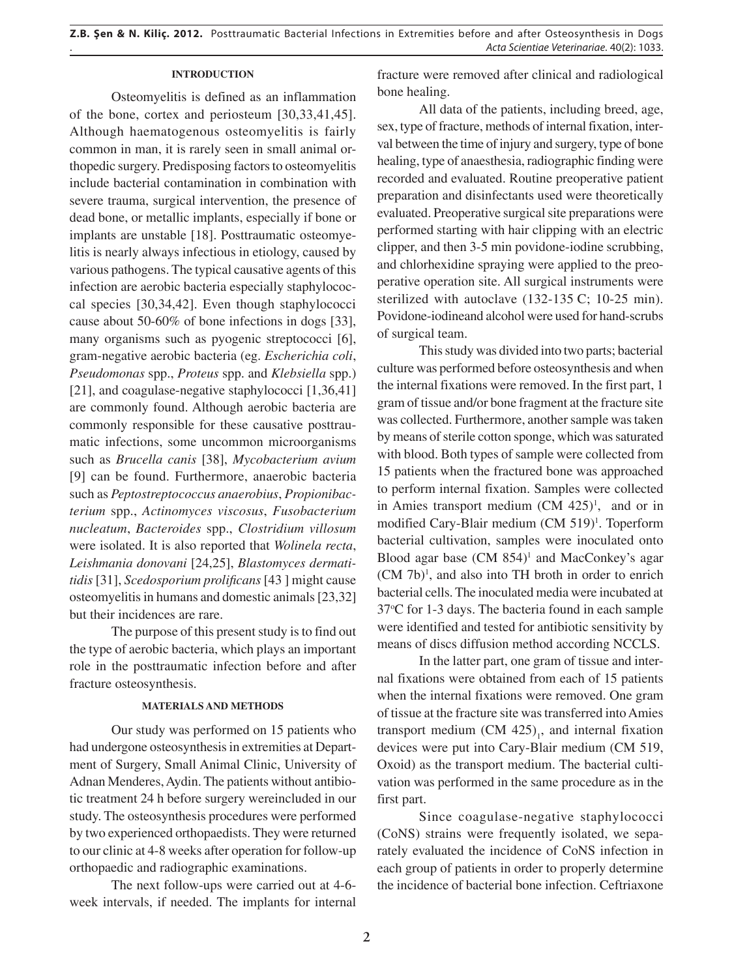#### **INTRODUCTION**

Osteomyelitis is defined as an inflammation of the bone, cortex and periosteum [30,33,41,45]. Although haematogenous osteomyelitis is fairly common in man, it is rarely seen in small animal orthopedic surgery. Predisposing factors to osteomyelitis include bacterial contamination in combination with severe trauma, surgical intervention, the presence of dead bone, or metallic implants, especially if bone or implants are unstable [18]. Posttraumatic osteomyelitis is nearly always infectious in etiology, caused by various pathogens. The typical causative agents of this infection are aerobic bacteria especially staphylococcal species [30,34,42]. Even though staphylococci cause about 50-60% of bone infections in dogs [33], many organisms such as pyogenic streptococci [6], gram-negative aerobic bacteria (eg. *Escherichia coli*, *Pseudomonas* spp., *Proteus* spp. and *Klebsiella* spp.) [21], and coagulase-negative staphylococci [1,36,41] are commonly found. Although aerobic bacteria are commonly responsible for these causative posttraumatic infections, some uncommon microorganisms such as *Brucella canis* [38], *Mycobacterium avium*  [9] can be found. Furthermore, anaerobic bacteria such as *Peptostreptococcus anaerobius*, *Propionibacterium* spp., *Actinomyces viscosus*, *Fusobacterium nucleatum*, *Bacteroides* spp., *Clostridium villosum* were isolated. It is also reported that *Wolinela recta*, *Leishmania donovani* [24,25], *Blastomyces dermatitidis* [31], *Scedosporium prolificans* [43 ] might cause osteomyelitis in humans and domestic animals [23,32] but their incidences are rare.

The purpose of this present study is to find out the type of aerobic bacteria, which plays an important role in the posttraumatic infection before and after fracture osteosynthesis.

### **MATERIALS AND METHODS**

Our study was performed on 15 patients who had undergone osteosynthesis in extremities at Department of Surgery, Small Animal Clinic, University of Adnan Menderes, Aydin. The patients without antibiotic treatment 24 h before surgery wereincluded in our study. The osteosynthesis procedures were performed by two experienced orthopaedists. They were returned to our clinic at 4-8 weeks after operation for follow-up orthopaedic and radiographic examinations.

The next follow-ups were carried out at 4-6 week intervals, if needed. The implants for internal fracture were removed after clinical and radiological bone healing.

All data of the patients, including breed, age, sex, type of fracture, methods of internal fixation, interval between the time of injury and surgery, type of bone healing, type of anaesthesia, radiographic finding were recorded and evaluated. Routine preoperative patient preparation and disinfectants used were theoretically evaluated. Preoperative surgical site preparations were performed starting with hair clipping with an electric clipper, and then 3-5 min povidone-iodine scrubbing, and chlorhexidine spraying were applied to the preoperative operation site. All surgical instruments were sterilized with autoclave  $(132-135 \text{ C}; 10-25 \text{ min}).$ Povidone-iodineand alcohol were used for hand-scrubs of surgical team.

This study was divided into two parts; bacterial culture was performed before osteosynthesis and when the internal fixations were removed. In the first part, 1 gram of tissue and/or bone fragment at the fracture site was collected. Furthermore, another sample was taken by means of sterile cotton sponge, which was saturated with blood. Both types of sample were collected from 15 patients when the fractured bone was approached to perform internal fixation. Samples were collected in Amies transport medium  $(CM 425)^1$ , and or in modified Cary-Blair medium (CM 519)<sup>1</sup>. Toperform bacterial cultivation, samples were inoculated onto Blood agar base  $(CM 854)^1$  and MacConkey's agar (CM 7b)1 , and also into TH broth in order to enrich bacterial cells. The inoculated media were incubated at 37°C for 1-3 days. The bacteria found in each sample were identified and tested for antibiotic sensitivity by means of discs diffusion method according NCCLS.

In the latter part, one gram of tissue and internal fixations were obtained from each of 15 patients when the internal fixations were removed. One gram of tissue at the fracture site was transferred into Amies transport medium  $(CM 425)$ , and internal fixation devices were put into Cary-Blair medium (CM 519, Oxoid) as the transport medium. The bacterial cultivation was performed in the same procedure as in the first part.

Since coagulase-negative staphylococci (CoNS) strains were frequently isolated, we separately evaluated the incidence of CoNS infection in each group of patients in order to properly determine the incidence of bacterial bone infection. Ceftriaxone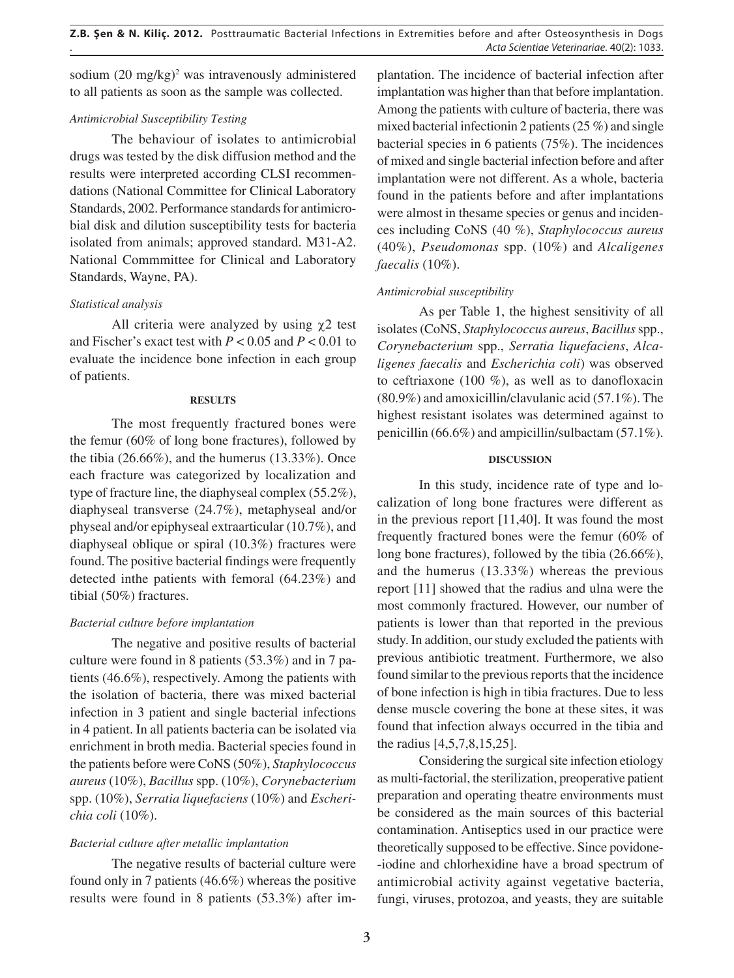sodium  $(20 \text{ mg/kg})^2$  was intravenously administered to all patients as soon as the sample was collected.

### *Antimicrobial Susceptibility Testing*

The behaviour of isolates to antimicrobial drugs was tested by the disk diffusion method and the results were interpreted according CLSI recommendations (National Committee for Clinical Laboratory Standards, 2002. Performance standards for antimicrobial disk and dilution susceptibility tests for bacteria isolated from animals; approved standard. M31-A2. National Commmittee for Clinical and Laboratory Standards, Wayne, PA).

### *Statistical analysis*

All criteria were analyzed by using  $\chi$ 2 test and Fischer's exact test with *P* < 0.05 and *P* < 0.01 to evaluate the incidence bone infection in each group of patients.

### **RESULTS**

The most frequently fractured bones were the femur (60% of long bone fractures), followed by the tibia (26.66%), and the humerus (13.33%). Once each fracture was categorized by localization and type of fracture line, the diaphyseal complex (55.2%), diaphyseal transverse (24.7%), metaphyseal and/or physeal and/or epiphyseal extraarticular (10.7%), and diaphyseal oblique or spiral (10.3%) fractures were found. The positive bacterial findings were frequently detected inthe patients with femoral (64.23%) and tibial (50%) fractures.

# *Bacterial culture before implantation*

The negative and positive results of bacterial culture were found in 8 patients (53.3%) and in 7 patients (46.6%), respectively. Among the patients with the isolation of bacteria, there was mixed bacterial infection in 3 patient and single bacterial infections in 4 patient. In all patients bacteria can be isolated via enrichment in broth media. Bacterial species found in the patients before were CoNS (50%), *Staphylococcus aureus* (10%), *Bacillus* spp. (10%), *Corynebacterium* spp. (10%), *Serratia liquefaciens* (10%) and *Escherichia coli* (10%).

# *Bacterial culture after metallic implantation*

The negative results of bacterial culture were found only in 7 patients (46.6%) whereas the positive results were found in 8 patients (53.3%) after im-

plantation. The incidence of bacterial infection after implantation was higher than that before implantation. Among the patients with culture of bacteria, there was mixed bacterial infectionin 2 patients (25 %) and single bacterial species in 6 patients (75%). The incidences of mixed and single bacterial infection before and after implantation were not different. As a whole, bacteria found in the patients before and after implantations were almost in thesame species or genus and incidences including CoNS (40 %), *Staphylococcus aureus*  (40%), *Pseudomonas* spp. (10%) and *Alcaligenes faecalis* (10%).

# *Antimicrobial susceptibility*

As per Table 1, the highest sensitivity of all isolates (CoNS, *Staphylococcus aureus*, *Bacillus* spp., *Corynebacterium* spp., *Serratia liquefaciens*, *Alcaligenes faecalis* and *Escherichia coli*) was observed to ceftriaxone (100 %), as well as to danofloxacin (80.9%) and amoxicillin/clavulanic acid (57.1%). The highest resistant isolates was determined against to penicillin (66.6%) and ampicillin/sulbactam (57.1%).

### **DISCUSSION**

calization of long bone fractures were different as In this study, incidence rate of type and loin the previous report [11,40]. It was found the most frequently fractured bones were the femur (60% of long bone fractures), followed by the tibia (26.66%), and the humerus (13.33%) whereas the previous report [11] showed that the radius and ulna were the most commonly fractured. However, our number of patients is lower than that reported in the previous study. In addition, our study excluded the patients with previous antibiotic treatment. Furthermore, we also found similar to the previous reports that the incidence of bone infection is high in tibia fractures. Due to less dense muscle covering the bone at these sites, it was found that infection always occurred in the tibia and the radius [4,5,7,8,15,25].

Considering the surgical site infection etiology as multi-factorial, the sterilization, preoperative patient preparation and operating theatre environments must be considered as the main sources of this bacterial contamination. Antiseptics used in our practice were theoretically supposed to be effective. Since povidone- -iodine and chlorhexidine have a broad spectrum of antimicrobial activity against vegetative bacteria, fungi, viruses, protozoa, and yeasts, they are suitable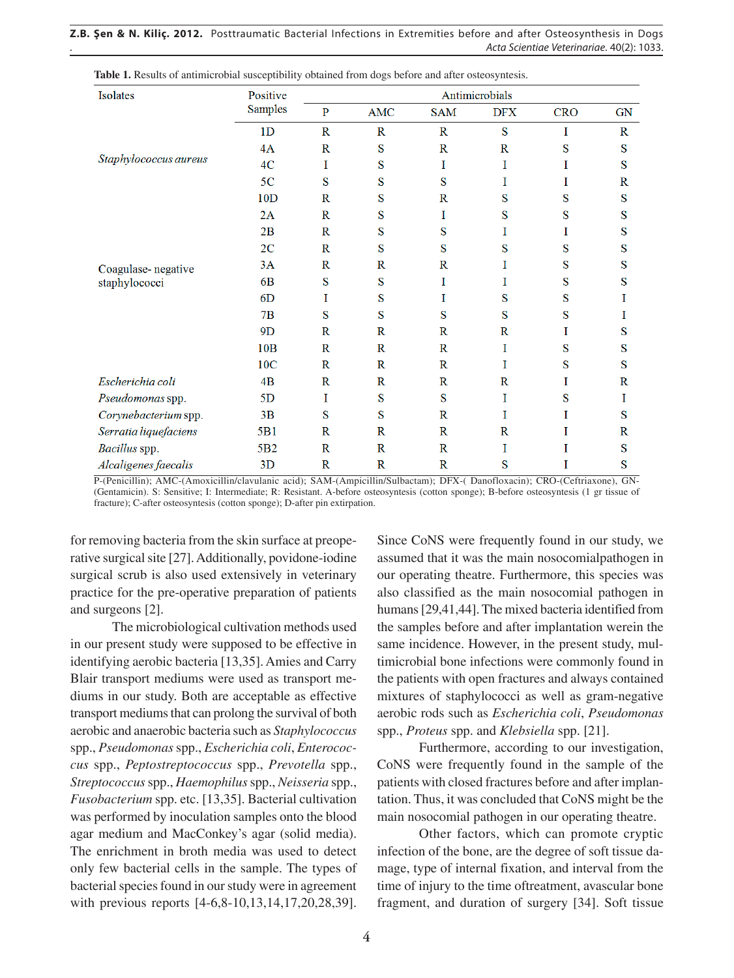**Z.B. Şen & N. Kiliç. 2012.** Posttraumatic Bacterial Infections in Extremities before and after Osteosynthesis in Dogs . *Acta Scientiae Veterinariae*. 40(2): 1033.

| Isolates                            | Positive<br><b>Samples</b> | Antimicrobials |              |              |              |            |              |
|-------------------------------------|----------------------------|----------------|--------------|--------------|--------------|------------|--------------|
|                                     |                            | $\mathbf{P}$   | <b>AMC</b>   | <b>SAM</b>   | <b>DFX</b>   | <b>CRO</b> | <b>GN</b>    |
| Staphylococcus aureus               | 1 <sub>D</sub>             | $\mathbf R$    | $\mathbb{R}$ | $\mathbf R$  | S            | I          | $\mathbf R$  |
|                                     | 4A                         | $\mathbb{R}$   | S            | $\mathbf R$  | $\mathbb{R}$ | S          | S            |
|                                     | 4C                         | I              | S            | I            | I            | I          | S            |
|                                     | 5 <sub>C</sub>             | S              | S            | S            | I            | Ι          | $\mathbb{R}$ |
|                                     | 10D                        | $\mathbf R$    | S            | $\mathbf R$  | S            | S          | S            |
|                                     | 2A                         | $\mathbf R$    | S            | I            | S            | S          | S            |
| Coagulase-negative<br>staphylococci | 2B                         | $\mathbf R$    | S            | S            | I            | I          | S            |
|                                     | 2C                         | $\mathbf R$    | S            | S            | S            | S          | S            |
|                                     | 3A                         | $\mathbf R$    | $\mathbb{R}$ | $\mathbf R$  | I            | S          | S            |
|                                     | 6 <sub>B</sub>             | S              | S            | I            | I            | S          | S            |
|                                     | 6D                         | I              | S            | I            | S            | S          | I            |
|                                     | 7B                         | S              | S            | S            | S            | S          | Ι            |
|                                     | 9D                         | R              | $\mathbf R$  | $\mathbf R$  | $\mathbf R$  | 1          | S            |
|                                     | 10 <sub>B</sub>            | $\mathbf R$    | $\mathbf R$  | $\mathbf R$  | I            | S          | S            |
|                                     | 10C                        | $\mathbf R$    | $\mathbb{R}$ | $\mathbf R$  | I            | S          | S            |
| Escherichia coli                    | 4B                         | $\mathbb{R}$   | $\mathbf{R}$ | $\mathbb{R}$ | $\mathbb{R}$ | I          | $\mathbb{R}$ |
| Pseudomonas spp.                    | 5D                         | I              | S            | S            | I            | S          | I            |
| Corynebacterium spp.                | 3B                         | S              | S            | $\mathbf R$  | I            | I          | S            |
| Serratia liquefaciens               | 5 <sub>B1</sub>            | $\mathbf R$    | $\mathbf R$  | $\mathbf R$  | R            | I          | $\mathbb{R}$ |
| Bacillus spp.                       | 5 <sub>B2</sub>            | $\mathbf R$    | $\mathbb{R}$ | $\mathbf R$  | I            | I          | S            |
| Alcaligenes faecalis                | 3D                         | $\mathbf R$    | $\mathbf R$  | $\mathbf R$  | S            | I          | S            |

**Table 1.** Results of antimicrobial susceptibility obtained from dogs before and after osteosyntesis.

P-(Penicillin); AMC-(Amoxicillin/clavulanic acid); SAM-(Ampicillin/Sulbactam); DFX-( Danofloxacin); CRO-(Ceftriaxone), GN- (Gentamicin). S: Sensitive; I: Intermediate; R: Resistant. A-before osteosyntesis (cotton sponge); B-before osteosyntesis (1 gr tissue of fracture); C-after osteosyntesis (cotton sponge); D-after pin extirpation.

for removing bacteria from the skin surface at preoperative surgical site [27]. Additionally, povidone-iodine surgical scrub is also used extensively in veterinary practice for the pre-operative preparation of patients and surgeons [2].

The microbiological cultivation methods used in our present study were supposed to be effective in identifying aerobic bacteria [13,35]. Amies and Carry Blair transport mediums were used as transport mediums in our study. Both are acceptable as effective transport mediums that can prolong the survival of both aerobic and anaerobic bacteria such as *Staphylococcus*  spp., *Pseudomonas* spp., *Escherichia coli*, *Enterococcus* spp., *Peptostreptococcus* spp., *Prevotella* spp., *Streptococcus* spp., *Haemophilus* spp., *Neisseria* spp., *Fusobacterium* spp. etc. [13,35]. Bacterial cultivation was performed by inoculation samples onto the blood agar medium and MacConkey's agar (solid media). The enrichment in broth media was used to detect only few bacterial cells in the sample. The types of bacterial species found in our study were in agreement with previous reports [4-6,8-10,13,14,17,20,28,39].

Since CoNS were frequently found in our study, we assumed that it was the main nosocomialpathogen in our operating theatre. Furthermore, this species was also classified as the main nosocomial pathogen in humans [29,41,44]. The mixed bacteria identified from the samples before and after implantation werein the same incidence. However, in the present study, multimicrobial bone infections were commonly found in the patients with open fractures and always contained mixtures of staphylococci as well as gram-negative aerobic rods such as *Escherichia coli*, *Pseudomonas*  spp., *Proteus* spp. and *Klebsiella* spp. [21].

Furthermore, according to our investigation, CoNS were frequently found in the sample of the patients with closed fractures before and after implantation. Thus, it was concluded that CoNS might be the main nosocomial pathogen in our operating theatre.

Other factors, which can promote cryptic infection of the bone, are the degree of soft tissue damage, type of internal fixation, and interval from the time of injury to the time oftreatment, avascular bone fragment, and duration of surgery [34]. Soft tissue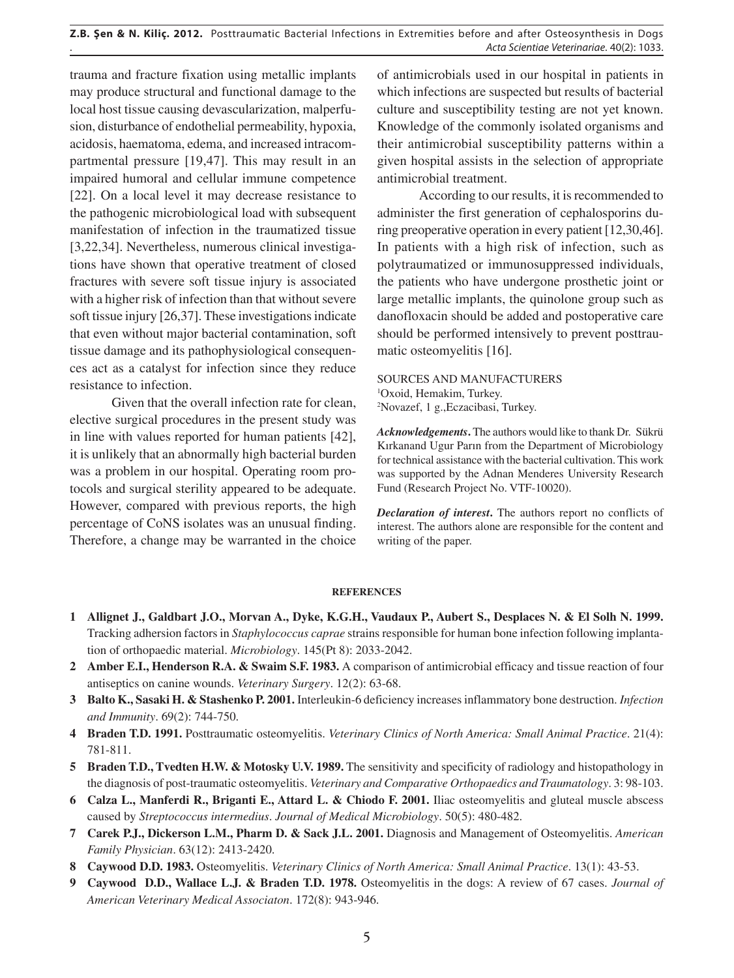trauma and fracture fixation using metallic implants may produce structural and functional damage to the local host tissue causing devascularization, malperfusion, disturbance of endothelial permeability, hypoxia, acidosis, haematoma, edema, and increased intracompartmental pressure [19,47]. This may result in an impaired humoral and cellular immune competence [22]. On a local level it may decrease resistance to the pathogenic microbiological load with subsequent manifestation of infection in the traumatized tissue [3,22,34]. Nevertheless, numerous clinical investigations have shown that operative treatment of closed fractures with severe soft tissue injury is associated with a higher risk of infection than that without severe soft tissue injury [26,37]. These investigations indicate that even without major bacterial contamination, soft tissue damage and its pathophysiological consequences act as a catalyst for infection since they reduce resistance to infection.

Given that the overall infection rate for clean, elective surgical procedures in the present study was in line with values reported for human patients [42], it is unlikely that an abnormally high bacterial burden was a problem in our hospital. Operating room protocols and surgical sterility appeared to be adequate. However, compared with previous reports, the high percentage of CoNS isolates was an unusual finding. Therefore, a change may be warranted in the choice

of antimicrobials used in our hospital in patients in which infections are suspected but results of bacterial culture and susceptibility testing are not yet known. Knowledge of the commonly isolated organisms and their antimicrobial susceptibility patterns within a given hospital assists in the selection of appropriate antimicrobial treatment.

According to our results, it is recommended to administer the first generation of cephalosporins during preoperative operation in every patient [12,30,46]. In patients with a high risk of infection, such as polytraumatized or immunosuppressed individuals, the patients who have undergone prosthetic joint or large metallic implants, the quinolone group such as danofloxacin should be added and postoperative care should be performed intensively to prevent posttraumatic osteomyelitis [16].

SOURCES AND MANUFACTURERS 1 Oxoid, Hemakim, Turkey. 2 Novazef, 1 g.,Eczacibasi, Turkey.

Acknowledgements. The authors would like to thank Dr. Sükrü Kırkanand Ugur Parın from the Department of Microbiology for technical assistance with the bacterial cultivation. This work was supported by the Adnan Menderes University Research Fund (Research Project No. VTF-10020).

N *Declaration of interest***.** The authors report no conflicts of interest. The authors alone are responsible for the content and writing of the paper.

#### **REFERENCES**

- **1 Allignet J., Galdbart J.O., Morvan A., Dyke, K.G.H., Vaudaux P., Aubert S., Desplaces N. & El Solh N. 1999.** Tracking adhersion factors in *Staphylococcus caprae* strains responsible for human bone infection following implantation of orthopaedic material. *Microbiology*. 145(Pt 8): 2033-2042.
- **2 Amber E.I., Henderson R.A. & Swaim S.F. 1983.** A comparison of antimicrobial efficacy and tissue reaction of four antiseptics on canine wounds. *Veterinary Surgery*. 12(2): 63-68.
- **3 Balto K., Sasaki H. & Stashenko P. 2001.** Interleukin-6 deficiency increases inflammatory bone destruction. *Infection and Immunity*. 69(2): 744-750.
- **4 Braden T.D. 1991.** Posttraumatic osteomyelitis. *Veterinary Clinics of North America: Small Animal Practice*. 21(4): 781-811.
- **5 Braden T.D., Tvedten H.W. & Motosky U.V. 1989.** The sensitivity and specificity of radiology and histopathology in the diagnosis of post-traumatic osteomyelitis. *Veterinary and Comparative Orthopaedics and Traumatology*. 3: 98-103.
- **6 Calza L., Manferdi R., Briganti E., Attard L. & Chiodo F. 2001.** Iliac osteomyelitis and gluteal muscle abscess caused by *Streptococcus intermedius*. *Journal of Medical Microbiology*. 50(5): 480-482.
- **7 Carek P.J., Dickerson L.M., Pharm D. & Sack J.L. 2001.** Diagnosis and Management of Osteomyelitis. *American Family Physician*. 63(12): 2413-2420.
- **8 Caywood D.D. 1983.** Osteomyelitis. *Veterinary Clinics of North America: Small Animal Practice*. 13(1): 43-53.
- **9 Caywood D.D., Wallace L.J. & Braden T.D. 1978.** Osteomyelitis in the dogs: A review of 67 cases. *Journal of American Veterinary Medical Associaton*. 172(8): 943-946.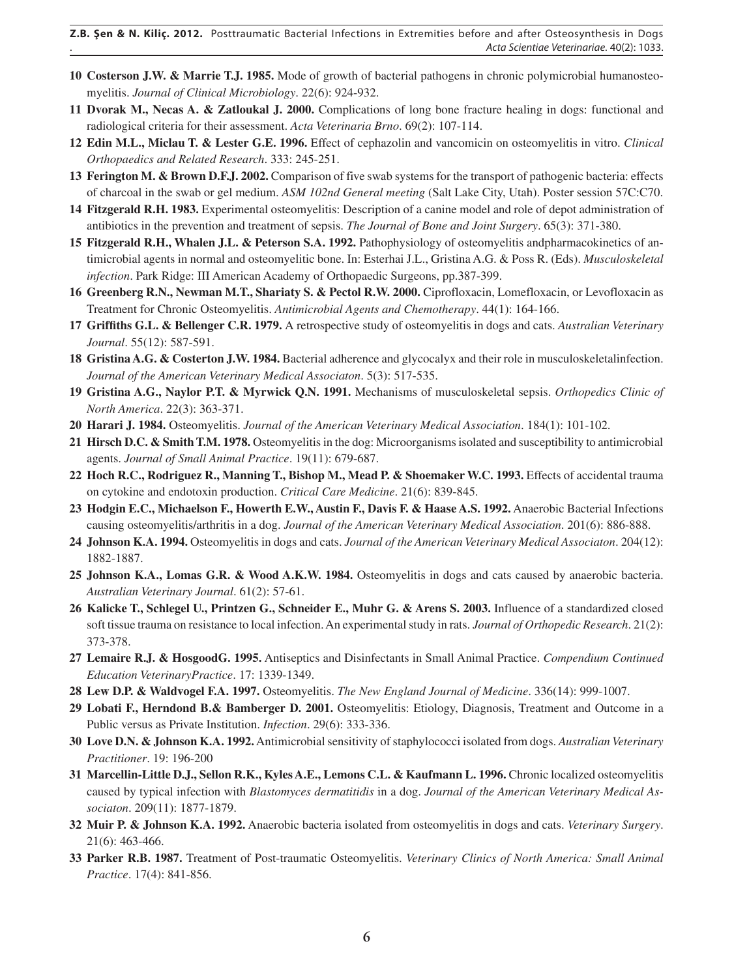- **10 Costerson J.W. & Marrie T.J. 1985.** Mode of growth of bacterial pathogens in chronic polymicrobial humanosteomyelitis. *Journal of Clinical Microbiology*. 22(6): 924-932.
- **11 Dvorak M., Necas A. & Zatloukal J. 2000.** Complications of long bone fracture healing in dogs: functional and radiological criteria for their assessment. *Acta Veterinaria Brno*. 69(2): 107-114.
- **12 Edin M.L., Miclau T. & Lester G.E. 1996.** Effect of cephazolin and vancomicin on osteomyelitis in vitro. *Clinical Orthopaedics and Related Research*. 333: 245-251.
- **13 Ferington M. & Brown D.F.J. 2002.** Comparison of five swab systems for the transport of pathogenic bacteria: effects of charcoal in the swab or gel medium. *ASM 102nd General meeting* (Salt Lake City, Utah). Poster session 57C:C70.
- **14 Fitzgerald R.H. 1983.** Experimental osteomyelitis: Description of a canine model and role of depot administration of antibiotics in the prevention and treatment of sepsis. *The Journal of Bone and Joint Surgery*. 65(3): 371-380.
- **15 Fitzgerald R.H., Whalen J.L. & Peterson S.A. 1992.** Pathophysiology of osteomyelitis andpharmacokinetics of antimicrobial agents in normal and osteomyelitic bone. In: Esterhai J.L., Gristina A.G. & Poss R. (Eds). *Musculoskeletal infection*. Park Ridge: III American Academy of Orthopaedic Surgeons, pp.387-399.
- **16 Greenberg R.N., Newman M.T., Shariaty S. & Pectol R.W. 2000.** Ciprofloxacin, Lomefloxacin, or Levofloxacin as Treatment for Chronic Osteomyelitis. *Antimicrobial Agents and Chemotherapy*. 44(1): 164-166.
- **17 Griffiths G.L. & Bellenger C.R. 1979.** A retrospective study of osteomyelitis in dogs and cats. *Australian Veterinary Journal*. 55(12): 587-591.
- **18 Gristina A.G. & Costerton J.W. 1984.** Bacterial adherence and glycocalyx and their role in musculoskeletalinfection. *Journal of the American Veterinary Medical Associaton*. 5(3): 517-535.
- **19 Gristina A.G., Naylor P.T. & Myrwick Q.N. 1991.** Mechanisms of musculoskeletal sepsis. *Orthopedics Clinic of North America*. 22(3): 363-371.
- **20 Harari J. 1984.** Osteomyelitis. *Journal of the American Veterinary Medical Association*. 184(1): 101-102.
- **21 Hirsch D.C. & Smith T.M. 1978.** Osteomyelitis in the dog: Microorganisms isolated and susceptibility to antimicrobial agents. *Journal of Small Animal Practice*. 19(11): 679-687.
- **22 Hoch R.C., Rodriguez R., Manning T., Bishop M., Mead P. & Shoemaker W.C. 1993.** Effects of accidental trauma on cytokine and endotoxin production. *Critical Care Medicine*. 21(6): 839-845.
- **23 Hodgin E.C., Michaelson F., Howerth E.W., Austin F., Davis F. & Haase A.S. 1992.** Anaerobic Bacterial Infections causing osteomyelitis/arthritis in a dog. *Journal of the American Veterinary Medical Association*. 201(6): 886-888.
- **24 Johnson K.A. 1994.** Osteomyelitis in dogs and cats. *Journal of the American Veterinary Medical Associaton*. 204(12): 1882-1887.
- **25 Johnson K.A., Lomas G.R. & Wood A.K.W. 1984.** Osteomyelitis in dogs and cats caused by anaerobic bacteria. *Australian Veterinary Journal*. 61(2): 57-61.
- **26 Kalicke T., Schlegel U., Printzen G., Schneider E., Muhr G. & Arens S. 2003.** Influence of a standardized closed soft tissue trauma on resistance to local infection. An experimental study in rats. *Journal of Orthopedic Research*. 21(2): 373-378.
- **27 Lemaire R.J. & HosgoodG. 1995.** Antiseptics and Disinfectants in Small Animal Practice. *Compendium Continued Education VeterinaryPractice*. 17: 1339-1349.
- **28 Lew D.P. & Waldvogel F.A. 1997.** Osteomyelitis. *The New England Journal of Medicine*. 336(14): 999-1007.
- **29 Lobati F., Herndond B.& Bamberger D. 2001.** Osteomyelitis: Etiology, Diagnosis, Treatment and Outcome in a Public versus as Private Institution. *Infection*. 29(6): 333-336.
- **30 Love D.N. & Johnson K.A. 1992.** Antimicrobial sensitivity of staphylococci isolated from dogs. *Australian Veterinary Practitioner*. 19: 196-200
- **31 Marcellin-Little D.J., Sellon R.K., Kyles A.E., Lemons C.L. & Kaufmann L. 1996.** Chronic localized osteomyelitis caused by typical infection with *Blastomyces dermatitidis* in a dog. *Journal of the American Veterinary Medical Associaton*. 209(11): 1877-1879.
- **32 Muir P. & Johnson K.A. 1992.** Anaerobic bacteria isolated from osteomyelitis in dogs and cats. *Veterinary Surgery*. 21(6): 463-466.
- **33 Parker R.B. 1987.** Treatment of Post-traumatic Osteomyelitis. *Veterinary Clinics of North America: Small Animal Practice*. 17(4): 841-856.